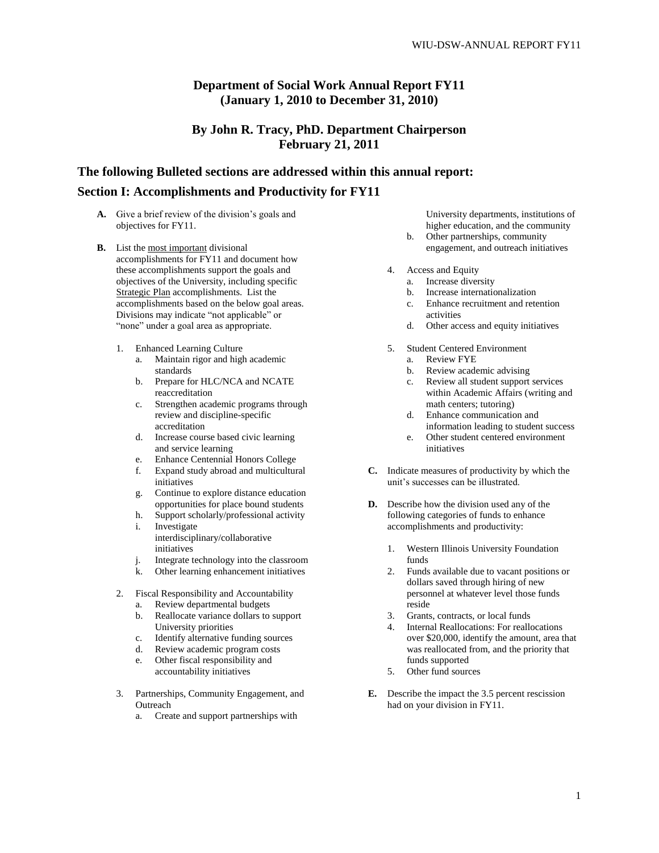### **Department of Social Work Annual Report FY11 (January 1, 2010 to December 31, 2010)**

### **By John R. Tracy, PhD. Department Chairperson February 21, 2011**

# **The following Bulleted sections are addressed within this annual report:**

# **Section I: Accomplishments and Productivity for FY11**

- A. Give a brief review of the division's goals and objectives for FY11.
- **B.** List the most important divisional accomplishments for FY11 and document how these accomplishments support the goals and objectives of the University, including specific Strategic Plan accomplishments. List the accomplishments based on the below goal areas. Divisions may indicate "not applicable" or "none" under a goal area as appropriate.
	- 1. Enhanced Learning Culture
		- a. Maintain rigor and high academic standards
		- b. Prepare for HLC/NCA and NCATE reaccreditation
		- c. Strengthen academic programs through review and discipline-specific accreditation
		- d. Increase course based civic learning and service learning
		- e. Enhance Centennial Honors College<br>f. Expand study abroad and multiculture
		- f. Expand study abroad and multicultural initiatives
		- g. Continue to explore distance education opportunities for place bound students
		- h. Support scholarly/professional activity i. Investigate interdisciplinary/collaborative initiatives
		- j. Integrate technology into the classroom
		- k. Other learning enhancement initiatives
	- 2. Fiscal Responsibility and Accountability
		- a. Review departmental budgets
		- b. Reallocate variance dollars to support University priorities
		- c. Identify alternative funding sources
		- d. Review academic program costs
		- e. Other fiscal responsibility and accountability initiatives
	- 3. Partnerships, Community Engagement, and **Outreach** 
		- a. Create and support partnerships with

University departments, institutions of higher education, and the community

- b. Other partnerships, community engagement, and outreach initiatives
- 4. Access and Equity
	- a. Increase diversity
	- b. Increase internationalization
	- c. Enhance recruitment and retention activities
	- d. Other access and equity initiatives
- 5. Student Centered Environment
	- a. Review FYE
	- Review academic advising
	- c. Review all student support services within Academic Affairs (writing and math centers; tutoring)
	- d. Enhance communication and information leading to student success
	- e. Other student centered environment initiatives
- **C.** Indicate measures of productivity by which the unit"s successes can be illustrated.
- **D.** Describe how the division used any of the following categories of funds to enhance accomplishments and productivity:
	- 1. Western Illinois University Foundation funds
	- 2. Funds available due to vacant positions or dollars saved through hiring of new personnel at whatever level those funds reside
	- 3. Grants, contracts, or local funds
	- 4. Internal Reallocations: For reallocations over \$20,000, identify the amount, area that was reallocated from, and the priority that funds supported
	- 5. Other fund sources
- **E.** Describe the impact the 3.5 percent rescission had on your division in FY11.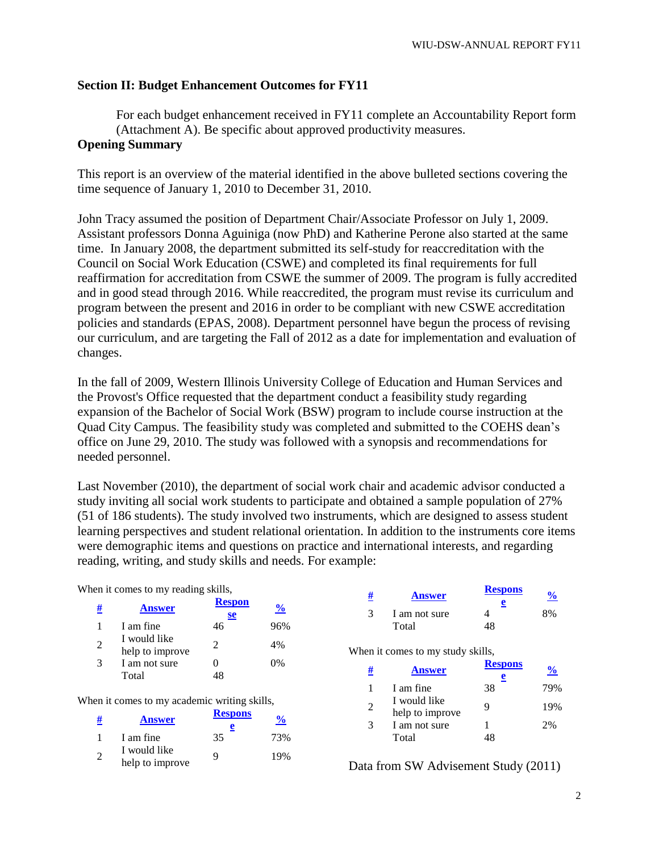# **Section II: Budget Enhancement Outcomes for FY11**

For each budget enhancement received in FY11 complete an Accountability Report form (Attachment A). Be specific about approved productivity measures. **Opening Summary** 

This report is an overview of the material identified in the above bulleted sections covering the time sequence of January 1, 2010 to December 31, 2010.

John Tracy assumed the position of Department Chair/Associate Professor on July 1, 2009. Assistant professors Donna Aguiniga (now PhD) and Katherine Perone also started at the same time. In January 2008, the department submitted its self-study for reaccreditation with the Council on Social Work Education (CSWE) and completed its final requirements for full reaffirmation for accreditation from CSWE the summer of 2009. The program is fully accredited and in good stead through 2016. While reaccredited, the program must revise its curriculum and program between the present and 2016 in order to be compliant with new CSWE accreditation policies and standards (EPAS, 2008). Department personnel have begun the process of revising our curriculum, and are targeting the Fall of 2012 as a date for implementation and evaluation of changes.

In the fall of 2009, Western Illinois University College of Education and Human Services and the Provost's Office requested that the department conduct a feasibility study regarding expansion of the Bachelor of Social Work (BSW) program to include course instruction at the Quad City Campus. The feasibility study was completed and submitted to the COEHS dean"s office on June 29, 2010. The study was followed with a synopsis and recommendations for needed personnel.

Last November (2010), the department of social work chair and academic advisor conducted a study inviting all social work students to participate and obtained a sample population of 27% (51 of 186 students). The study involved two instruments, which are designed to assess student learning perspectives and student relational orientation. In addition to the instruments core items were demographic items and questions on practice and international interests, and regarding reading, writing, and study skills and needs. For example:

When it comes to my reading skills,

| #              | <b>Answer</b>                   | <b>Respon</b><br>se         | $\frac{6}{6}$ |
|----------------|---------------------------------|-----------------------------|---------------|
| 1              | I am fine                       | 46                          | 96%           |
| $\overline{2}$ | I would like<br>help to improve | $\mathcal{D}_{\mathcal{L}}$ | 4%            |
| 3              | I am not sure<br>Total          | 0<br>48                     | 0%            |

When it comes to my academic writing skills,

| <u>#</u>      | <b>Answer</b>                   | <b>Respons</b><br>e | $\frac{6}{10}$ |
|---------------|---------------------------------|---------------------|----------------|
|               | I am fine                       | 35                  | 73%            |
| $\mathcal{D}$ | I would like<br>help to improve | Q                   | 19%            |

| # | <b>Answer</b>          | <b>Respons</b><br>e | $\mathbf{0}$ |
|---|------------------------|---------------------|--------------|
|   | I am not sure<br>Total | 18                  | 8%           |
|   |                        |                     |              |

When it comes to my study skills,

| # | <b>Answer</b>                   | <b>Respons</b><br>e | $\frac{1}{2}$ |
|---|---------------------------------|---------------------|---------------|
|   | I am fine                       | 38                  | 79%           |
| 2 | I would like<br>help to improve | Q                   | 19%           |
| 3 | I am not sure                   |                     | 2%            |
|   | Total                           |                     |               |

Data from SW Advisement Study (2011)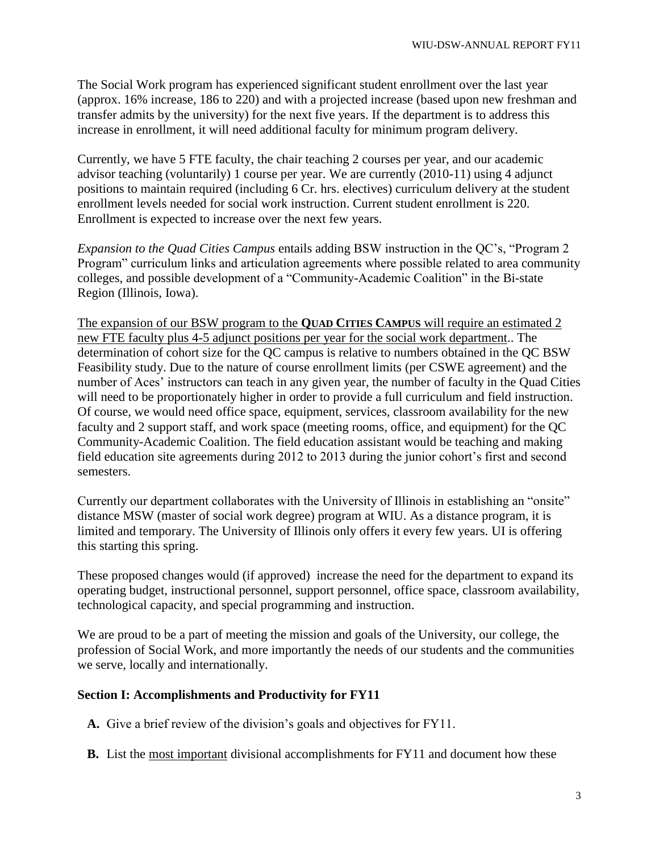The Social Work program has experienced significant student enrollment over the last year (approx. 16% increase, 186 to 220) and with a projected increase (based upon new freshman and transfer admits by the university) for the next five years. If the department is to address this increase in enrollment, it will need additional faculty for minimum program delivery.

Currently, we have 5 FTE faculty, the chair teaching 2 courses per year, and our academic advisor teaching (voluntarily) 1 course per year. We are currently (2010-11) using 4 adjunct positions to maintain required (including 6 Cr. hrs. electives) curriculum delivery at the student enrollment levels needed for social work instruction. Current student enrollment is 220. Enrollment is expected to increase over the next few years.

*Expansion to the Quad Cities Campus* entails adding BSW instruction in the QC"s, "Program 2 Program" curriculum links and articulation agreements where possible related to area community colleges, and possible development of a "Community-Academic Coalition" in the Bi-state Region (Illinois, Iowa).

The expansion of our BSW program to the **QUAD CITIES CAMPUS** will require an estimated 2 new FTE faculty plus 4-5 adjunct positions per year for the social work department.. The determination of cohort size for the QC campus is relative to numbers obtained in the QC BSW Feasibility study. Due to the nature of course enrollment limits (per CSWE agreement) and the number of Aces' instructors can teach in any given year, the number of faculty in the Quad Cities will need to be proportionately higher in order to provide a full curriculum and field instruction. Of course, we would need office space, equipment, services, classroom availability for the new faculty and 2 support staff, and work space (meeting rooms, office, and equipment) for the QC Community-Academic Coalition. The field education assistant would be teaching and making field education site agreements during 2012 to 2013 during the junior cohort's first and second semesters.

Currently our department collaborates with the University of Illinois in establishing an "onsite" distance MSW (master of social work degree) program at WIU. As a distance program, it is limited and temporary. The University of Illinois only offers it every few years. UI is offering this starting this spring.

These proposed changes would (if approved) increase the need for the department to expand its operating budget, instructional personnel, support personnel, office space, classroom availability, technological capacity, and special programming and instruction.

We are proud to be a part of meeting the mission and goals of the University, our college, the profession of Social Work, and more importantly the needs of our students and the communities we serve, locally and internationally.

# **Section I: Accomplishments and Productivity for FY11**

**A.** Give a brief review of the division"s goals and objectives for FY11.

**B.** List the most important divisional accomplishments for FY11 and document how these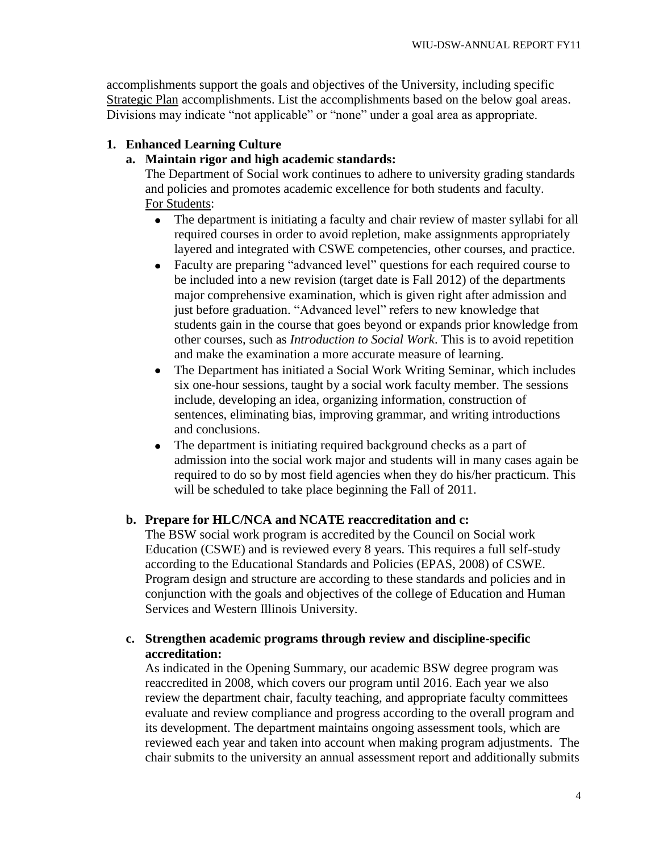accomplishments support the goals and objectives of the University, including specific Strategic Plan accomplishments. List the accomplishments based on the below goal areas. Divisions may indicate "not applicable" or "none" under a goal area as appropriate.

# **1. Enhanced Learning Culture**

# **a. Maintain rigor and high academic standards:**

The Department of Social work continues to adhere to university grading standards and policies and promotes academic excellence for both students and faculty. For Students:

- $\bullet$ The department is initiating a faculty and chair review of master syllabi for all required courses in order to avoid repletion, make assignments appropriately layered and integrated with CSWE competencies, other courses, and practice.
- Faculty are preparing "advanced level" questions for each required course to  $\bullet$ be included into a new revision (target date is Fall 2012) of the departments major comprehensive examination, which is given right after admission and just before graduation. "Advanced level" refers to new knowledge that students gain in the course that goes beyond or expands prior knowledge from other courses, such as *Introduction to Social Work*. This is to avoid repetition and make the examination a more accurate measure of learning.
- The Department has initiated a Social Work Writing Seminar, which includes  $\bullet$ six one-hour sessions, taught by a social work faculty member. The sessions include, developing an idea, organizing information, construction of sentences, eliminating bias, improving grammar, and writing introductions and conclusions.
- The department is initiating required background checks as a part of  $\bullet$ admission into the social work major and students will in many cases again be required to do so by most field agencies when they do his/her practicum. This will be scheduled to take place beginning the Fall of 2011.

# **b. Prepare for HLC/NCA and NCATE reaccreditation and c:**

The BSW social work program is accredited by the Council on Social work Education (CSWE) and is reviewed every 8 years. This requires a full self-study according to the Educational Standards and Policies (EPAS, 2008) of CSWE. Program design and structure are according to these standards and policies and in conjunction with the goals and objectives of the college of Education and Human Services and Western Illinois University.

# **c. Strengthen academic programs through review and discipline-specific accreditation:**

As indicated in the Opening Summary, our academic BSW degree program was reaccredited in 2008, which covers our program until 2016. Each year we also review the department chair, faculty teaching, and appropriate faculty committees evaluate and review compliance and progress according to the overall program and its development. The department maintains ongoing assessment tools, which are reviewed each year and taken into account when making program adjustments. The chair submits to the university an annual assessment report and additionally submits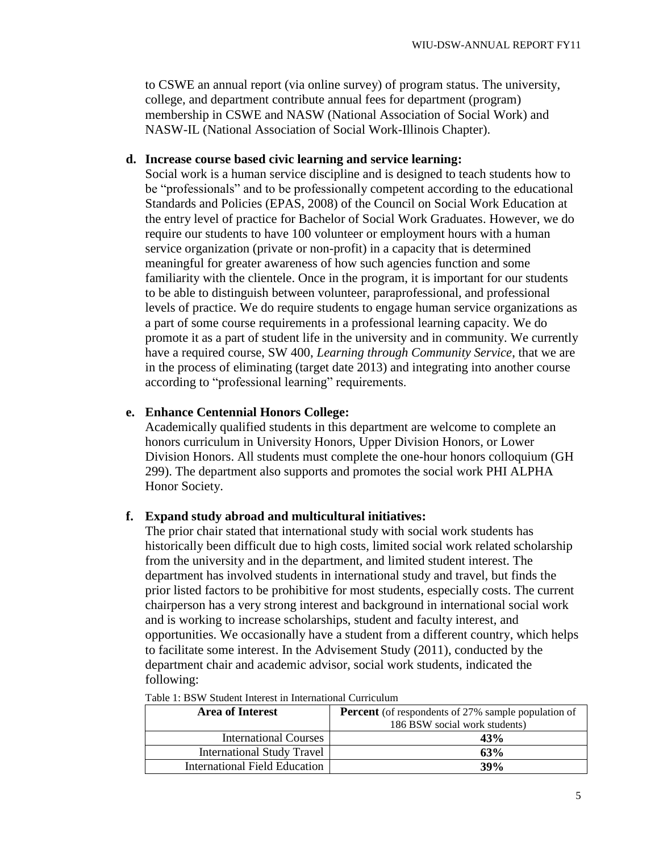to CSWE an annual report (via online survey) of program status. The university, college, and department contribute annual fees for department (program) membership in CSWE and NASW (National Association of Social Work) and NASW-IL (National Association of Social Work-Illinois Chapter).

# **d. Increase course based civic learning and service learning:**

Social work is a human service discipline and is designed to teach students how to be "professionals" and to be professionally competent according to the educational Standards and Policies (EPAS, 2008) of the Council on Social Work Education at the entry level of practice for Bachelor of Social Work Graduates. However, we do require our students to have 100 volunteer or employment hours with a human service organization (private or non-profit) in a capacity that is determined meaningful for greater awareness of how such agencies function and some familiarity with the clientele. Once in the program, it is important for our students to be able to distinguish between volunteer, paraprofessional, and professional levels of practice. We do require students to engage human service organizations as a part of some course requirements in a professional learning capacity. We do promote it as a part of student life in the university and in community. We currently have a required course, SW 400, *Learning through Community Service*, that we are in the process of eliminating (target date 2013) and integrating into another course according to "professional learning" requirements.

# **e. Enhance Centennial Honors College:**

Academically qualified students in this department are welcome to complete an honors curriculum in University Honors, Upper Division Honors, or Lower Division Honors. All students must complete the one-hour honors colloquium (GH 299). The department also supports and promotes the social work PHI ALPHA Honor Society.

# **f. Expand study abroad and multicultural initiatives:**

The prior chair stated that international study with social work students has historically been difficult due to high costs, limited social work related scholarship from the university and in the department, and limited student interest. The department has involved students in international study and travel, but finds the prior listed factors to be prohibitive for most students, especially costs. The current chairperson has a very strong interest and background in international social work and is working to increase scholarships, student and faculty interest, and opportunities. We occasionally have a student from a different country, which helps to facilitate some interest. In the Advisement Study (2011), conducted by the department chair and academic advisor, social work students, indicated the following:

| <b>Area of Interest</b><br><b>Percent</b> (of respondents of 27% sample population of<br>186 BSW social work students) |     |
|------------------------------------------------------------------------------------------------------------------------|-----|
| <b>International Courses</b>                                                                                           | 43% |
| <b>International Study Travel</b>                                                                                      | 63% |
| <b>International Field Education</b>                                                                                   | 39% |

Table 1: BSW Student Interest in International Curriculum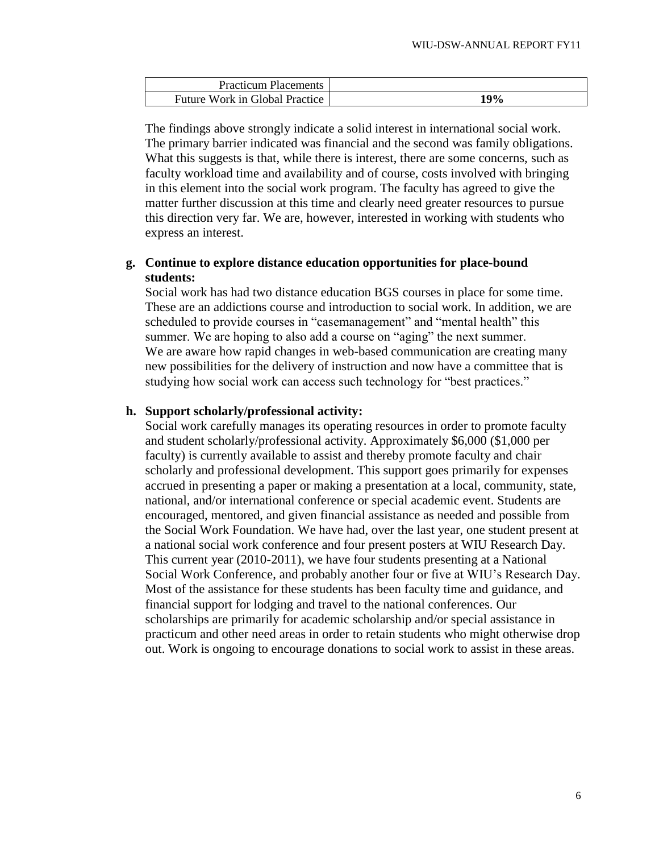| <b>Practicum Placements</b>    |             |
|--------------------------------|-------------|
| Future Work in Global Practice | 10O/<br>-70 |

The findings above strongly indicate a solid interest in international social work. The primary barrier indicated was financial and the second was family obligations. What this suggests is that, while there is interest, there are some concerns, such as faculty workload time and availability and of course, costs involved with bringing in this element into the social work program. The faculty has agreed to give the matter further discussion at this time and clearly need greater resources to pursue this direction very far. We are, however, interested in working with students who express an interest.

# **g. Continue to explore distance education opportunities for place-bound students:**

Social work has had two distance education BGS courses in place for some time. These are an addictions course and introduction to social work. In addition, we are scheduled to provide courses in "casemanagement" and "mental health" this summer. We are hoping to also add a course on "aging" the next summer. We are aware how rapid changes in web-based communication are creating many new possibilities for the delivery of instruction and now have a committee that is studying how social work can access such technology for "best practices."

### **h. Support scholarly/professional activity:**

Social work carefully manages its operating resources in order to promote faculty and student scholarly/professional activity. Approximately \$6,000 (\$1,000 per faculty) is currently available to assist and thereby promote faculty and chair scholarly and professional development. This support goes primarily for expenses accrued in presenting a paper or making a presentation at a local, community, state, national, and/or international conference or special academic event. Students are encouraged, mentored, and given financial assistance as needed and possible from the Social Work Foundation. We have had, over the last year, one student present at a national social work conference and four present posters at WIU Research Day. This current year (2010-2011), we have four students presenting at a National Social Work Conference, and probably another four or five at WIU"s Research Day. Most of the assistance for these students has been faculty time and guidance, and financial support for lodging and travel to the national conferences. Our scholarships are primarily for academic scholarship and/or special assistance in practicum and other need areas in order to retain students who might otherwise drop out. Work is ongoing to encourage donations to social work to assist in these areas.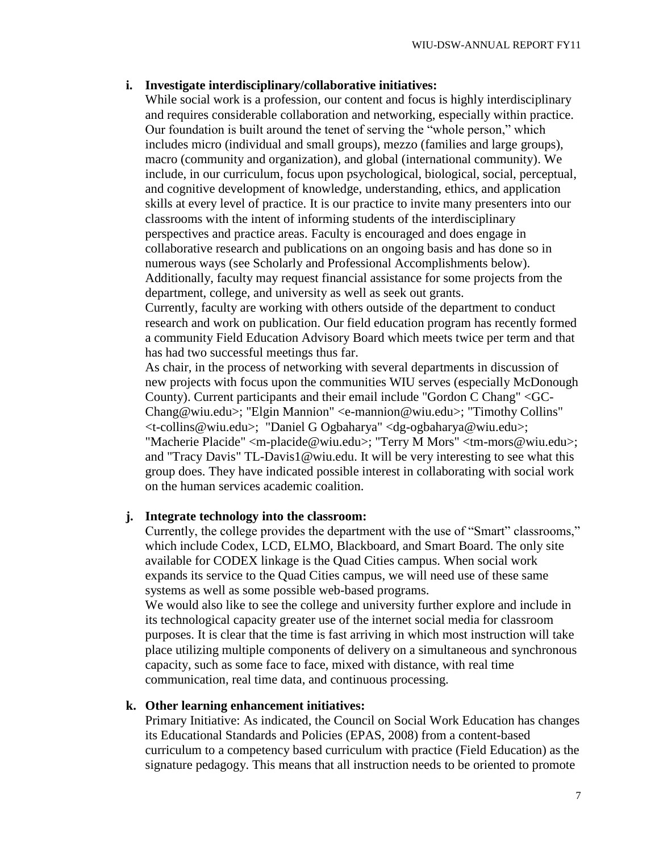### **i. Investigate interdisciplinary/collaborative initiatives:**

While social work is a profession, our content and focus is highly interdisciplinary and requires considerable collaboration and networking, especially within practice. Our foundation is built around the tenet of serving the "whole person," which includes micro (individual and small groups), mezzo (families and large groups), macro (community and organization), and global (international community). We include, in our curriculum, focus upon psychological, biological, social, perceptual, and cognitive development of knowledge, understanding, ethics, and application skills at every level of practice. It is our practice to invite many presenters into our classrooms with the intent of informing students of the interdisciplinary perspectives and practice areas. Faculty is encouraged and does engage in collaborative research and publications on an ongoing basis and has done so in numerous ways (see Scholarly and Professional Accomplishments below). Additionally, faculty may request financial assistance for some projects from the department, college, and university as well as seek out grants.

Currently, faculty are working with others outside of the department to conduct research and work on publication. Our field education program has recently formed a community Field Education Advisory Board which meets twice per term and that has had two successful meetings thus far.

As chair, in the process of networking with several departments in discussion of new projects with focus upon the communities WIU serves (especially McDonough County). Current participants and their email include "Gordon C Chang" <GC-Chang@wiu.edu>; "Elgin Mannion" <e-mannion@wiu.edu>; "Timothy Collins" <t-collins@wiu.edu>; "Daniel G Ogbaharya" <dg-ogbaharya@wiu.edu>; "Macherie Placide" <m-placide@wiu.edu>; "Terry M Mors" <tm-mors@wiu.edu>; and "Tracy Davis" TL-Davis1@wiu.edu. It will be very interesting to see what this group does. They have indicated possible interest in collaborating with social work on the human services academic coalition.

### **j. Integrate technology into the classroom:**

Currently, the college provides the department with the use of "Smart" classrooms," which include Codex, LCD, ELMO, Blackboard, and Smart Board. The only site available for CODEX linkage is the Quad Cities campus. When social work expands its service to the Quad Cities campus, we will need use of these same systems as well as some possible web-based programs.

We would also like to see the college and university further explore and include in its technological capacity greater use of the internet social media for classroom purposes. It is clear that the time is fast arriving in which most instruction will take place utilizing multiple components of delivery on a simultaneous and synchronous capacity, such as some face to face, mixed with distance, with real time communication, real time data, and continuous processing.

### **k. Other learning enhancement initiatives:**

Primary Initiative: As indicated, the Council on Social Work Education has changes its Educational Standards and Policies (EPAS, 2008) from a content-based curriculum to a competency based curriculum with practice (Field Education) as the signature pedagogy. This means that all instruction needs to be oriented to promote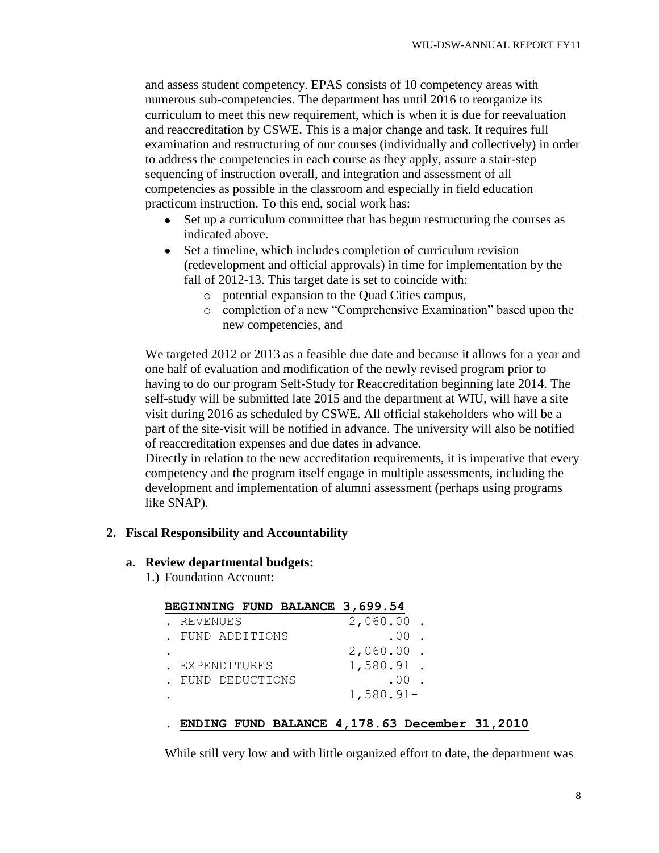and assess student competency. EPAS consists of 10 competency areas with numerous sub-competencies. The department has until 2016 to reorganize its curriculum to meet this new requirement, which is when it is due for reevaluation and reaccreditation by CSWE. This is a major change and task. It requires full examination and restructuring of our courses (individually and collectively) in order to address the competencies in each course as they apply, assure a stair-step sequencing of instruction overall, and integration and assessment of all competencies as possible in the classroom and especially in field education practicum instruction. To this end, social work has:

- Set up a curriculum committee that has begun restructuring the courses as indicated above.
- Set a timeline, which includes completion of curriculum revision (redevelopment and official approvals) in time for implementation by the fall of 2012-13. This target date is set to coincide with:
	- o potential expansion to the Quad Cities campus,
	- o completion of a new "Comprehensive Examination" based upon the new competencies, and

We targeted 2012 or 2013 as a feasible due date and because it allows for a year and one half of evaluation and modification of the newly revised program prior to having to do our program Self-Study for Reaccreditation beginning late 2014. The self-study will be submitted late 2015 and the department at WIU, will have a site visit during 2016 as scheduled by CSWE. All official stakeholders who will be a part of the site-visit will be notified in advance. The university will also be notified of reaccreditation expenses and due dates in advance.

Directly in relation to the new accreditation requirements, it is imperative that every competency and the program itself engage in multiple assessments, including the development and implementation of alumni assessment (perhaps using programs like SNAP).

### **2. Fiscal Responsibility and Accountability**

### **a. Review departmental budgets:**

1.) Foundation Account:

|                  |  | BEGINNING FUND BALANCE 3,699.54 |             |     |  |
|------------------|--|---------------------------------|-------------|-----|--|
| REVENUES         |  |                                 | 2,060.00    |     |  |
| . FUND ADDITIONS |  |                                 |             | .00 |  |
|                  |  |                                 | 2,060.00    |     |  |
| EXPENDITURES     |  |                                 | 1,580.91.   |     |  |
| FUND DEDUCTIONS  |  |                                 |             | .00 |  |
|                  |  |                                 | $1,580.91-$ |     |  |

# . **ENDING FUND BALANCE 4,178.63 December 31,2010**

While still very low and with little organized effort to date, the department was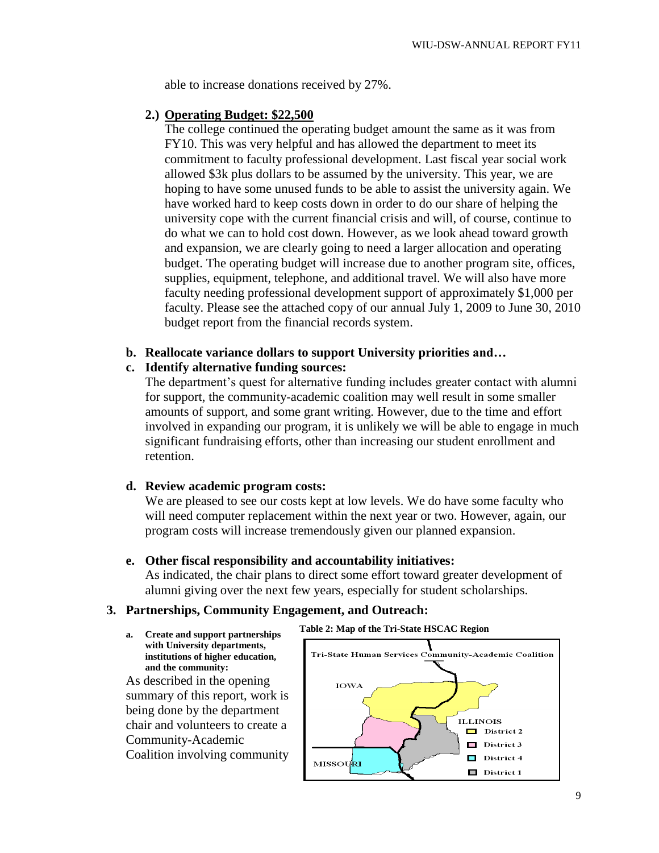able to increase donations received by 27%.

# **2.) Operating Budget: \$22,500**

The college continued the operating budget amount the same as it was from FY10. This was very helpful and has allowed the department to meet its commitment to faculty professional development. Last fiscal year social work allowed \$3k plus dollars to be assumed by the university. This year, we are hoping to have some unused funds to be able to assist the university again. We have worked hard to keep costs down in order to do our share of helping the university cope with the current financial crisis and will, of course, continue to do what we can to hold cost down. However, as we look ahead toward growth and expansion, we are clearly going to need a larger allocation and operating budget. The operating budget will increase due to another program site, offices, supplies, equipment, telephone, and additional travel. We will also have more faculty needing professional development support of approximately \$1,000 per faculty. Please see the attached copy of our annual July 1, 2009 to June 30, 2010 budget report from the financial records system.

# **b. Reallocate variance dollars to support University priorities and…**

# **c. Identify alternative funding sources:**

The department's quest for alternative funding includes greater contact with alumni for support, the community-academic coalition may well result in some smaller amounts of support, and some grant writing. However, due to the time and effort involved in expanding our program, it is unlikely we will be able to engage in much significant fundraising efforts, other than increasing our student enrollment and retention.

# **d. Review academic program costs:**

We are pleased to see our costs kept at low levels. We do have some faculty who will need computer replacement within the next year or two. However, again, our program costs will increase tremendously given our planned expansion.

# **e. Other fiscal responsibility and accountability initiatives:**

As indicated, the chair plans to direct some effort toward greater development of alumni giving over the next few years, especially for student scholarships.

# **3. Partnerships, Community Engagement, and Outreach:**

**a. Create and support partnerships with University departments, institutions of higher education, and the community:**

As described in the opening summary of this report, work is being done by the department chair and volunteers to create a Community-Academic Coalition involving community

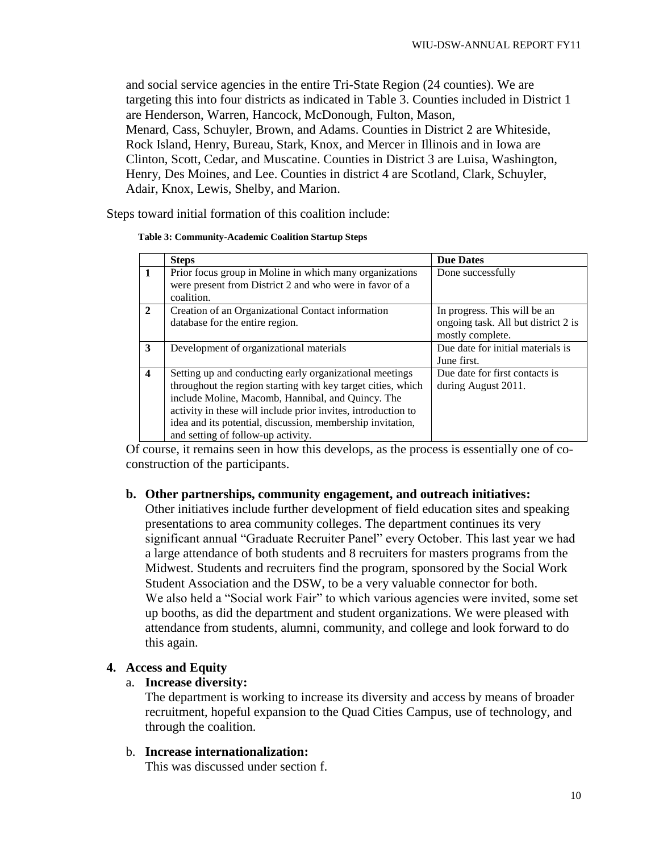and social service agencies in the entire Tri-State Region (24 counties). We are targeting this into four districts as indicated in Table 3. Counties included in District 1 are Henderson, Warren, Hancock, McDonough, Fulton, Mason, Menard, Cass, Schuyler, Brown, and Adams. Counties in District 2 are Whiteside, Rock Island, Henry, Bureau, Stark, Knox, and Mercer in Illinois and in Iowa are Clinton, Scott, Cedar, and Muscatine. Counties in District 3 are Luisa, Washington, Henry, Des Moines, and Lee. Counties in district 4 are Scotland, Clark, Schuyler, Adair, Knox, Lewis, Shelby, and Marion.

Steps toward initial formation of this coalition include:

| <b>Table 3: Community-Academic Coalition Startup Steps</b> |  |
|------------------------------------------------------------|--|
|------------------------------------------------------------|--|

|                        | <b>Steps</b>                                                                                                                                                                                                                                                                                                                                      | <b>Due Dates</b>                                                                        |
|------------------------|---------------------------------------------------------------------------------------------------------------------------------------------------------------------------------------------------------------------------------------------------------------------------------------------------------------------------------------------------|-----------------------------------------------------------------------------------------|
|                        | Prior focus group in Moline in which many organizations<br>were present from District 2 and who were in favor of a<br>coalition.                                                                                                                                                                                                                  | Done successfully                                                                       |
| $\mathcal{D}_{\alpha}$ | Creation of an Organizational Contact information<br>database for the entire region.                                                                                                                                                                                                                                                              | In progress. This will be an<br>ongoing task. All but district 2 is<br>mostly complete. |
| 3                      | Development of organizational materials                                                                                                                                                                                                                                                                                                           | Due date for initial materials is<br>June first.                                        |
| 4                      | Setting up and conducting early organizational meetings<br>throughout the region starting with key target cities, which<br>include Moline, Macomb, Hannibal, and Quincy. The<br>activity in these will include prior invites, introduction to<br>idea and its potential, discussion, membership invitation,<br>and setting of follow-up activity. | Due date for first contacts is<br>during August 2011.                                   |

Of course, it remains seen in how this develops, as the process is essentially one of coconstruction of the participants.

# **b. Other partnerships, community engagement, and outreach initiatives:**

Other initiatives include further development of field education sites and speaking presentations to area community colleges. The department continues its very significant annual "Graduate Recruiter Panel" every October. This last year we had a large attendance of both students and 8 recruiters for masters programs from the Midwest. Students and recruiters find the program, sponsored by the Social Work Student Association and the DSW, to be a very valuable connector for both. We also held a "Social work Fair" to which various agencies were invited, some set up booths, as did the department and student organizations. We were pleased with attendance from students, alumni, community, and college and look forward to do this again.

# **4. Access and Equity**

# a. **Increase diversity:**

The department is working to increase its diversity and access by means of broader recruitment, hopeful expansion to the Quad Cities Campus, use of technology, and through the coalition.

# b. **Increase internationalization:**

This was discussed under section f.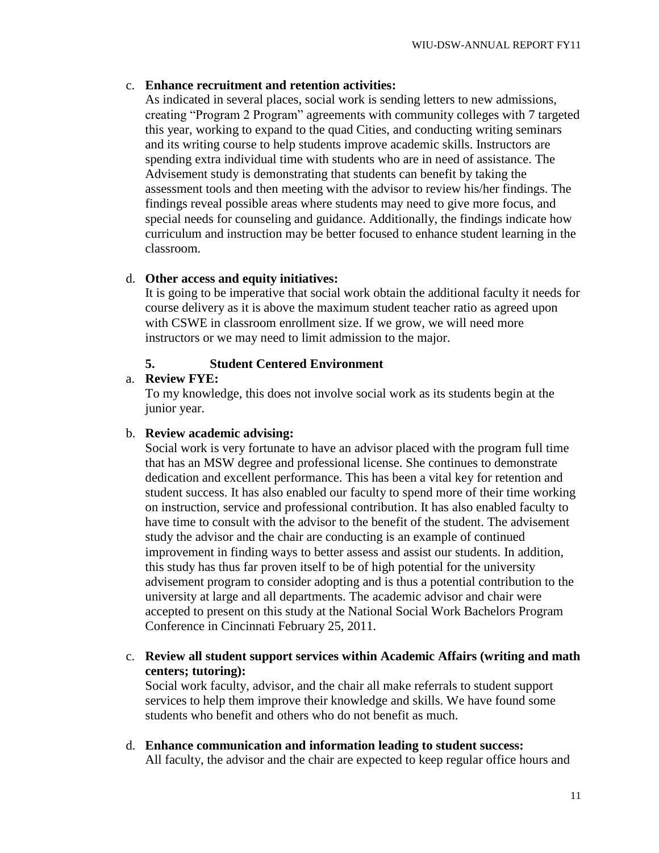# c. **Enhance recruitment and retention activities:**

As indicated in several places, social work is sending letters to new admissions, creating "Program 2 Program" agreements with community colleges with 7 targeted this year, working to expand to the quad Cities, and conducting writing seminars and its writing course to help students improve academic skills. Instructors are spending extra individual time with students who are in need of assistance. The Advisement study is demonstrating that students can benefit by taking the assessment tools and then meeting with the advisor to review his/her findings. The findings reveal possible areas where students may need to give more focus, and special needs for counseling and guidance. Additionally, the findings indicate how curriculum and instruction may be better focused to enhance student learning in the classroom.

# d. **Other access and equity initiatives:**

It is going to be imperative that social work obtain the additional faculty it needs for course delivery as it is above the maximum student teacher ratio as agreed upon with CSWE in classroom enrollment size. If we grow, we will need more instructors or we may need to limit admission to the major.

# **5. Student Centered Environment**

# a. **Review FYE:**

To my knowledge, this does not involve social work as its students begin at the junior year.

# b. **Review academic advising:**

Social work is very fortunate to have an advisor placed with the program full time that has an MSW degree and professional license. She continues to demonstrate dedication and excellent performance. This has been a vital key for retention and student success. It has also enabled our faculty to spend more of their time working on instruction, service and professional contribution. It has also enabled faculty to have time to consult with the advisor to the benefit of the student. The advisement study the advisor and the chair are conducting is an example of continued improvement in finding ways to better assess and assist our students. In addition, this study has thus far proven itself to be of high potential for the university advisement program to consider adopting and is thus a potential contribution to the university at large and all departments. The academic advisor and chair were accepted to present on this study at the National Social Work Bachelors Program Conference in Cincinnati February 25, 2011.

c. **Review all student support services within Academic Affairs (writing and math centers; tutoring):**

Social work faculty, advisor, and the chair all make referrals to student support services to help them improve their knowledge and skills. We have found some students who benefit and others who do not benefit as much.

d. **Enhance communication and information leading to student success:** All faculty, the advisor and the chair are expected to keep regular office hours and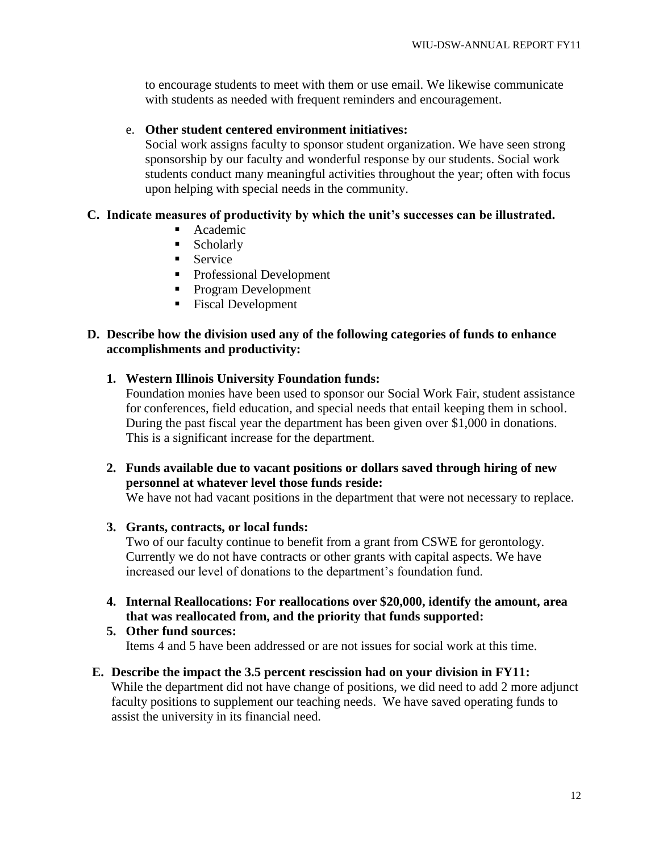to encourage students to meet with them or use email. We likewise communicate with students as needed with frequent reminders and encouragement.

# e. **Other student centered environment initiatives:**

Social work assigns faculty to sponsor student organization. We have seen strong sponsorship by our faculty and wonderful response by our students. Social work students conduct many meaningful activities throughout the year; often with focus upon helping with special needs in the community.

# **C. Indicate measures of productivity by which the unit's successes can be illustrated.**

- **Academic**
- Scholarly
- **Service**
- Professional Development
- **Program Development**
- Fiscal Development

# **D. Describe how the division used any of the following categories of funds to enhance accomplishments and productivity:**

# **1. Western Illinois University Foundation funds:**

Foundation monies have been used to sponsor our Social Work Fair, student assistance for conferences, field education, and special needs that entail keeping them in school. During the past fiscal year the department has been given over \$1,000 in donations. This is a significant increase for the department.

**2. Funds available due to vacant positions or dollars saved through hiring of new personnel at whatever level those funds reside:**

We have not had vacant positions in the department that were not necessary to replace.

# **3. Grants, contracts, or local funds:**

Two of our faculty continue to benefit from a grant from CSWE for gerontology. Currently we do not have contracts or other grants with capital aspects. We have increased our level of donations to the department"s foundation fund.

**4. Internal Reallocations: For reallocations over \$20,000, identify the amount, area that was reallocated from, and the priority that funds supported:**

# **5. Other fund sources:** Items 4 and 5 have been addressed or are not issues for social work at this time.

### **E. Describe the impact the 3.5 percent rescission had on your division in FY11:** While the department did not have change of positions, we did need to add 2 more adjunct

faculty positions to supplement our teaching needs. We have saved operating funds to assist the university in its financial need.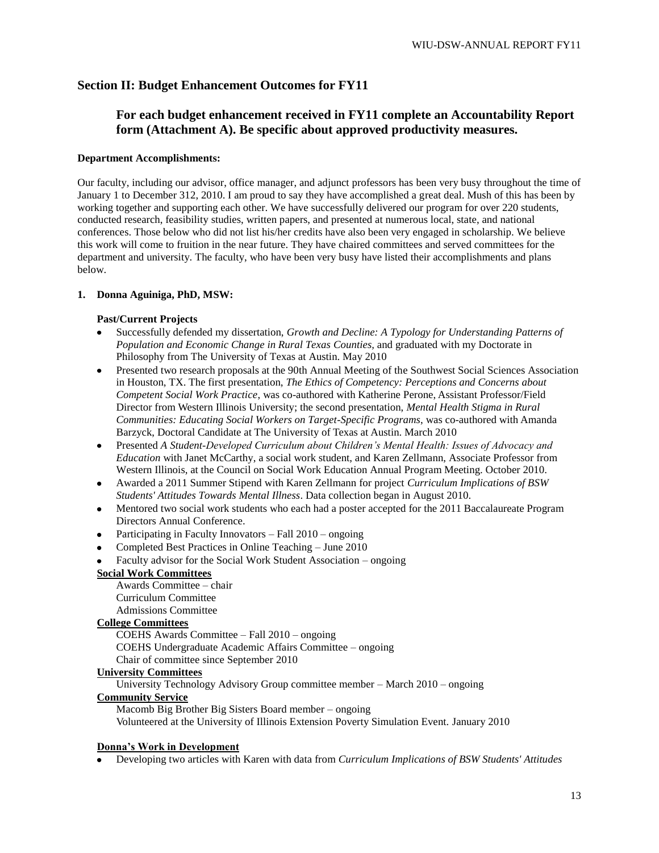### **Section II: Budget Enhancement Outcomes for FY11**

# **For each budget enhancement received in FY11 complete an Accountability Report form (Attachment A). Be specific about approved productivity measures.**

#### **Department Accomplishments:**

Our faculty, including our advisor, office manager, and adjunct professors has been very busy throughout the time of January 1 to December 312, 2010. I am proud to say they have accomplished a great deal. Mush of this has been by working together and supporting each other. We have successfully delivered our program for over 220 students, conducted research, feasibility studies, written papers, and presented at numerous local, state, and national conferences. Those below who did not list his/her credits have also been very engaged in scholarship. We believe this work will come to fruition in the near future. They have chaired committees and served committees for the department and university. The faculty, who have been very busy have listed their accomplishments and plans below.

#### **1. Donna Aguiniga, PhD, MSW:**

#### **Past/Current Projects**

- Successfully defended my dissertation, *Growth and Decline: A Typology for Understanding Patterns of Population and Economic Change in Rural Texas Counties,* and graduated with my Doctorate in Philosophy from The University of Texas at Austin. May 2010
- $\bullet$ Presented two research proposals at the 90th Annual Meeting of the Southwest Social Sciences Association in Houston, TX. The first presentation, *The Ethics of Competency: Perceptions and Concerns about Competent Social Work Practice*, was co-authored with Katherine Perone, Assistant Professor/Field Director from Western Illinois University; the second presentation, *Mental Health Stigma in Rural Communities: Educating Social Workers on Target-Specific Programs*, was co-authored with Amanda Barzyck, Doctoral Candidate at The University of Texas at Austin. March 2010
- Presented *A Student-Developed Curriculum about Children's Mental Health: Issues of Advocacy and Education* with Janet McCarthy, a social work student, and Karen Zellmann, Associate Professor from Western Illinois, at the Council on Social Work Education Annual Program Meeting. October 2010.
- Awarded a 2011 Summer Stipend with Karen Zellmann for project *Curriculum Implications of BSW Students' Attitudes Towards Mental Illness*. Data collection began in August 2010.
- Mentored two social work students who each had a poster accepted for the 2011 Baccalaureate Program Directors Annual Conference.
- Participating in Faculty Innovators Fall 2010 ongoing
- Completed Best Practices in Online Teaching June 2010
- Faculty advisor for the Social Work Student Association ongoing

### **Social Work Committees**

Awards Committee – chair Curriculum Committee Admissions Committee

#### **College Committees**

COEHS Awards Committee – Fall 2010 – ongoing

COEHS Undergraduate Academic Affairs Committee – ongoing Chair of committee since September 2010

### **University Committees**

University Technology Advisory Group committee member – March 2010 – ongoing

### **Community Service**

Macomb Big Brother Big Sisters Board member – ongoing Volunteered at the University of Illinois Extension Poverty Simulation Event. January 2010

#### **Donna's Work in Development**

Developing two articles with Karen with data from *Curriculum Implications of BSW Students' Attitudes*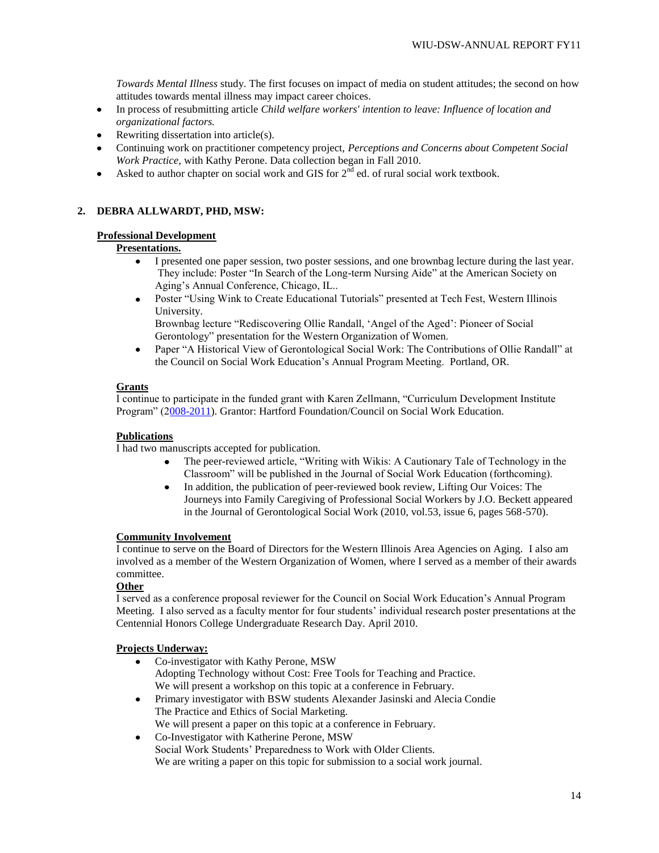*Towards Mental Illness* study. The first focuses on impact of media on student attitudes; the second on how attitudes towards mental illness may impact career choices.

- In process of resubmitting article *Child welfare workers' intention to leave: Influence of location and*   $\bullet$ *organizational factors.*
- Rewriting dissertation into article(s).  $\bullet$
- Continuing work on practitioner competency project, *Perceptions and Concerns about Competent Social Work Practice,* with Kathy Perone. Data collection began in Fall 2010.
- Asked to author chapter on social work and GIS for  $2<sup>nd</sup>$  ed. of rural social work textbook.

### **2. DEBRA ALLWARDT, PHD, MSW:**

#### **Professional Development**

### **Presentations.**

- I presented one paper session, two poster sessions, and one brownbag lecture during the last year. They include: Poster "In Search of the Long-term Nursing Aide" at the American Society on Aging"s Annual Conference, Chicago, IL..
- Poster "Using Wink to Create Educational Tutorials" presented at Tech Fest, Western Illinois  $\bullet$ University. Brownbag lecture "Rediscovering Ollie Randall, "Angel of the Aged": Pioneer of Social

Gerontology" presentation for the Western Organization of Women.

Paper "A Historical View of Gerontological Social Work: The Contributions of Ollie Randall" at  $\bullet$ the Council on Social Work Education"s Annual Program Meeting. Portland, OR.

#### **Grants**

I continue to participate in the funded grant with Karen Zellmann, "Curriculum Development Institute Program" ([2008-2011\)](callto:008-2011). Grantor: Hartford Foundation/Council on Social Work Education.

### **Publications**

I had two manuscripts accepted for publication.

- The peer-reviewed article, "Writing with Wikis: A Cautionary Tale of Technology in the Classroom" will be published in the Journal of Social Work Education (forthcoming).
- In addition, the publication of peer-reviewed book review, Lifting Our Voices: The  $\bullet$ Journeys into Family Caregiving of Professional Social Workers by J.O. Beckett appeared in the Journal of Gerontological Social Work (2010, vol.53, issue 6, pages 568-570).

### **Community Involvement**

I continue to serve on the Board of Directors for the Western Illinois Area Agencies on Aging. I also am involved as a member of the Western Organization of Women, where I served as a member of their awards committee.

### **Other**

I served as a conference proposal reviewer for the Council on Social Work Education"s Annual Program Meeting. I also served as a faculty mentor for four students" individual research poster presentations at the Centennial Honors College Undergraduate Research Day. April 2010.

### **Projects Underway:**

- Co-investigator with Kathy Perone, MSW  $\bullet$ Adopting Technology without Cost: Free Tools for Teaching and Practice. We will present a workshop on this topic at a conference in February.
- $\bullet$ Primary investigator with BSW students Alexander Jasinski and Alecia Condie The Practice and Ethics of Social Marketing. We will present a paper on this topic at a conference in February.
- Co-Investigator with Katherine Perone, MSW  $\bullet$ Social Work Students" Preparedness to Work with Older Clients. We are writing a paper on this topic for submission to a social work journal.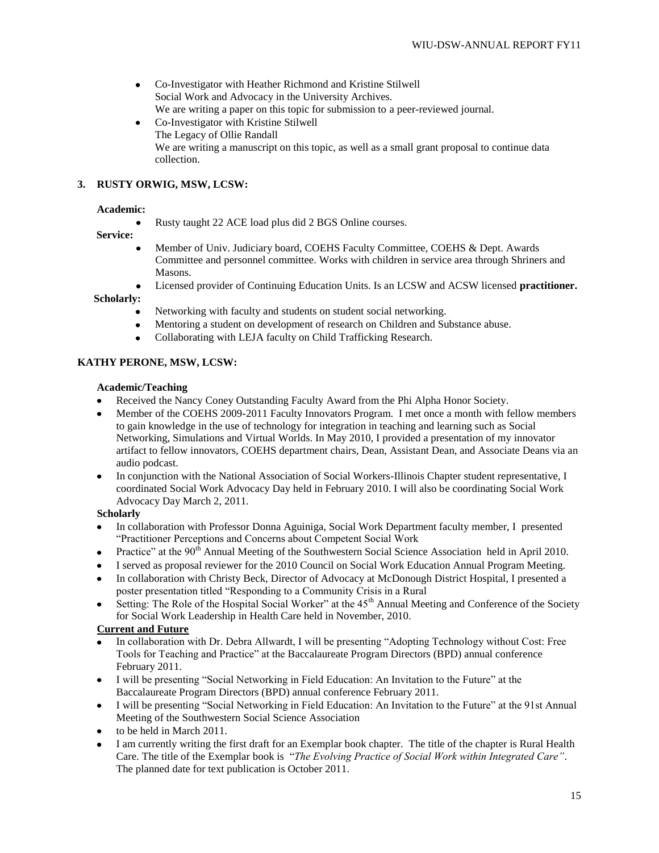- $\bullet$ Co-Investigator with Heather Richmond and Kristine Stilwell Social Work and Advocacy in the University Archives. We are writing a paper on this topic for submission to a peer-reviewed journal.
- Co-Investigator with Kristine Stilwell The Legacy of Ollie Randall We are writing a manuscript on this topic, as well as a small grant proposal to continue data collection.

### **3. RUSTY ORWIG, MSW, LCSW:**

#### **Academic:**

Rusty taught 22 ACE load plus did 2 BGS Online courses.

#### **Service:**

- Member of Univ. Judiciary board, COEHS Faculty Committee, COEHS & Dept. Awards  $\bullet$ Committee and personnel committee. Works with children in service area through Shriners and Masons.
- Licensed provider of Continuing Education Units. Is an LCSW and ACSW licensed **practitioner.**   $\bullet$

 **Scholarly:** 

- Networking with faculty and students on student social networking.
- $\bullet$ Mentoring a student on development of research on Children and Substance abuse.
- Collaborating with LEJA faculty on Child Trafficking Research.  $\bullet$

### **KATHY PERONE, MSW, LCSW:**

#### **Academic/Teaching**

- Received the Nancy Coney Outstanding Faculty Award from the Phi Alpha Honor Society.
- $\bullet$ Member of the COEHS 2009-2011 Faculty Innovators Program. I met once a month with fellow members to gain knowledge in the use of technology for integration in teaching and learning such as Social Networking, Simulations and Virtual Worlds. In May 2010, I provided a presentation of my innovator artifact to fellow innovators, COEHS department chairs, Dean, Assistant Dean, and Associate Deans via an audio podcast.
- In conjunction with the National Association of Social Workers-Illinois Chapter student representative, I coordinated Social Work Advocacy Day held in February 2010. I will also be coordinating Social Work Advocacy Day March 2, 2011.

### **Scholarly**

- In collaboration with Professor Donna Aguiniga, Social Work Department faculty member, I presented "Practitioner Perceptions and Concerns about Competent Social Work
- Practice" at the 90<sup>th</sup> Annual Meeting of the Southwestern Social Science Association held in April 2010.  $\bullet$
- I served as proposal reviewer for the 2010 Council on Social Work Education Annual Program Meeting.
- In collaboration with Christy Beck, Director of Advocacy at McDonough District Hospital, I presented a  $\bullet$ poster presentation titled "Responding to a Community Crisis in a Rural
- Setting: The Role of the Hospital Social Worker" at the 45<sup>th</sup> Annual Meeting and Conference of the Society for Social Work Leadership in Health Care held in November, 2010.

### **Current and Future**

- In collaboration with Dr. Debra Allwardt, I will be presenting "Adopting Technology without Cost: Free Tools for Teaching and Practice" at the Baccalaureate Program Directors (BPD) annual conference February 2011.
- I will be presenting "Social Networking in Field Education: An Invitation to the Future" at the Baccalaureate Program Directors (BPD) annual conference February 2011.
- I will be presenting "Social Networking in Field Education: An Invitation to the Future" at the 91st Annual  $\bullet$ Meeting of the Southwestern Social Science Association
- to be held in March 2011.
- I am currently writing the first draft for an Exemplar book chapter. The title of the chapter is Rural Health Care. The title of the Exemplar book is "*The Evolving Practice of Social Work within Integrated Care"*. The planned date for text publication is October 2011.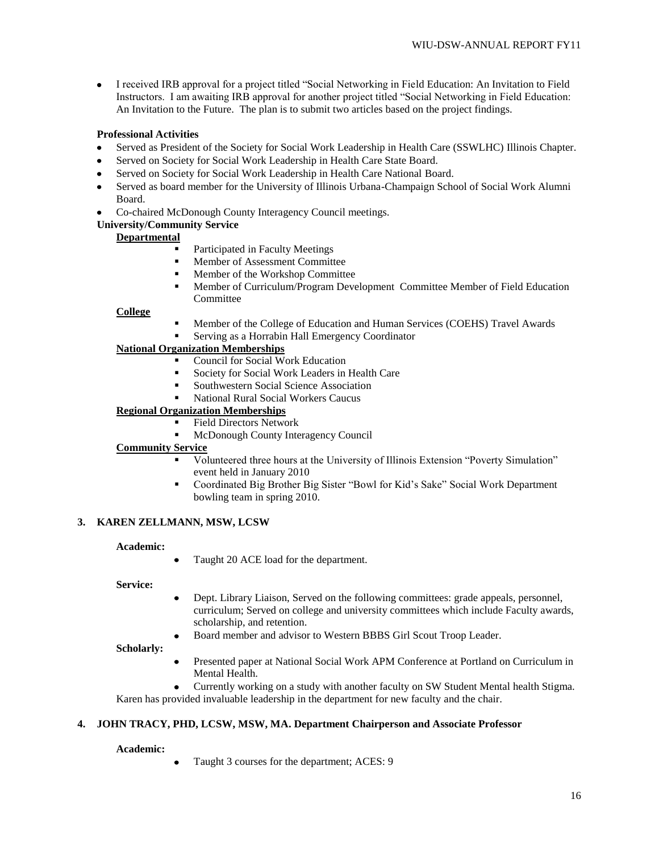I received IRB approval for a project titled "Social Networking in Field Education: An Invitation to Field  $\bullet$ Instructors. I am awaiting IRB approval for another project titled "Social Networking in Field Education: An Invitation to the Future. The plan is to submit two articles based on the project findings.

### **Professional Activities**

- Served as President of the Society for Social Work Leadership in Health Care (SSWLHC) Illinois Chapter.
- Served on Society for Social Work Leadership in Health Care State Board.
- Served on Society for Social Work Leadership in Health Care National Board.
- Served as board member for the University of Illinois Urbana-Champaign School of Social Work Alumni  $\bullet$ Board.
- Co-chaired McDonough County Interagency Council meetings.  $\bullet$

### **University/Community Service**

### **Departmental**

- Participated in Faculty Meetings
- **Member of Assessment Committee**
- Member of the Workshop Committee
- Member of Curriculum/Program Development Committee Member of Field Education Committee

### **College**

- Member of the College of Education and Human Services (COEHS) Travel Awards
- Serving as a Horrabin Hall Emergency Coordinator

# **National Organization Memberships**

- Council for Social Work Education
- Society for Social Work Leaders in Health Care
- **Southwestern Social Science Association**
- National Rural Social Workers Caucus

# **Regional Organization Memberships**

- Field Directors Network
	- McDonough County Interagency Council

### **Community Service**

- Volunteered three hours at the University of Illinois Extension "Poverty Simulation" event held in January 2010
- Coordinated Big Brother Big Sister "Bowl for Kid"s Sake" Social Work Department bowling team in spring 2010.

### **3. KAREN ZELLMANN, MSW, LCSW**

### **Academic:**

Taught 20 ACE load for the department.

#### **Service:**

- Dept. Library Liaison, Served on the following committees: grade appeals, personnel,  $\bullet$ curriculum; Served on college and university committees which include Faculty awards, scholarship, and retention.
- Board member and advisor to Western BBBS Girl Scout Troop Leader.

### **Scholarly:**

- Presented paper at National Social Work APM Conference at Portland on Curriculum in Mental Health.
- Currently working on a study with another faculty on SW Student Mental health Stigma. Karen has provided invaluable leadership in the department for new faculty and the chair.

# **4. JOHN TRACY, PHD, LCSW, MSW, MA. Department Chairperson and Associate Professor**

### **Academic:**

Taught 3 courses for the department; ACES: 9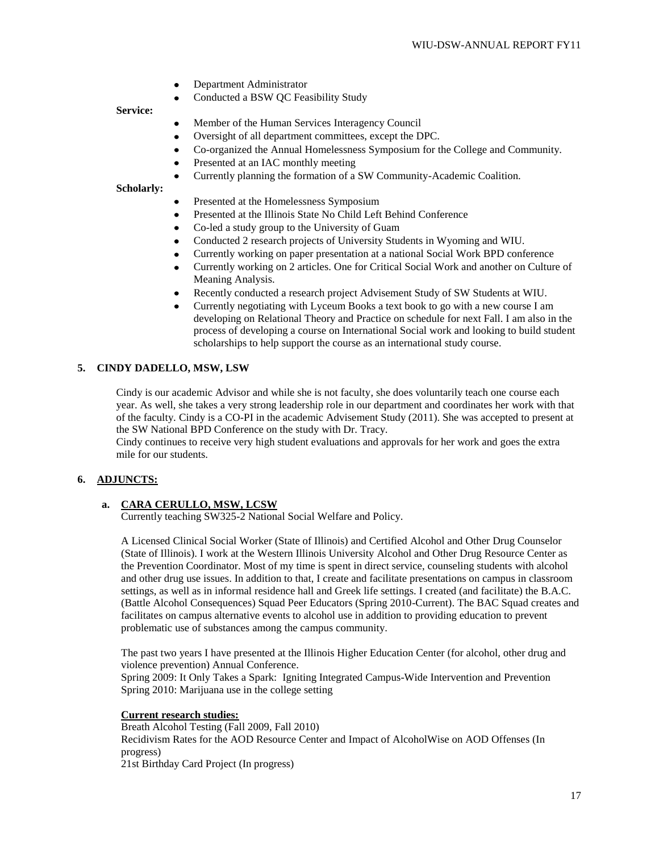- Department Administrator  $\bullet$
- Conducted a BSW QC Feasibility Study

#### **Service:**

- Member of the Human Services Interagency Council  $\bullet$
- Oversight of all department committees, except the DPC.
- Co-organized the Annual Homelessness Symposium for the College and Community.
- $\bullet$ Presented at an IAC monthly meeting
- Currently planning the formation of a SW Community-Academic Coalition.

### **Scholarly:**

- Presented at the Homelessness Symposium
- Presented at the Illinois State No Child Left Behind Conference
- Co-led a study group to the University of Guam  $\bullet$
- Conducted 2 research projects of University Students in Wyoming and WIU.
- Currently working on paper presentation at a national Social Work BPD conference
- Currently working on 2 articles. One for Critical Social Work and another on Culture of Meaning Analysis.
- Recently conducted a research project Advisement Study of SW Students at WIU.
- Currently negotiating with Lyceum Books a text book to go with a new course I am developing on Relational Theory and Practice on schedule for next Fall. I am also in the process of developing a course on International Social work and looking to build student scholarships to help support the course as an international study course.

#### **5. CINDY DADELLO, MSW, LSW**

Cindy is our academic Advisor and while she is not faculty, she does voluntarily teach one course each year. As well, she takes a very strong leadership role in our department and coordinates her work with that of the faculty. Cindy is a CO-PI in the academic Advisement Study (2011). She was accepted to present at the SW National BPD Conference on the study with Dr. Tracy.

Cindy continues to receive very high student evaluations and approvals for her work and goes the extra mile for our students.

### **6. ADJUNCTS:**

### **a. CARA CERULLO, MSW, LCSW**

Currently teaching SW325-2 National Social Welfare and Policy.

A Licensed Clinical Social Worker (State of Illinois) and Certified Alcohol and Other Drug Counselor (State of Illinois). I work at the Western Illinois University Alcohol and Other Drug Resource Center as the Prevention Coordinator. Most of my time is spent in direct service, counseling students with alcohol and other drug use issues. In addition to that, I create and facilitate presentations on campus in classroom settings, as well as in informal residence hall and Greek life settings. I created (and facilitate) the B.A.C. (Battle Alcohol Consequences) Squad Peer Educators (Spring 2010-Current). The BAC Squad creates and facilitates on campus alternative events to alcohol use in addition to providing education to prevent problematic use of substances among the campus community.

The past two years I have presented at the Illinois Higher Education Center (for alcohol, other drug and violence prevention) Annual Conference.

Spring 2009: It Only Takes a Spark: Igniting Integrated Campus-Wide Intervention and Prevention Spring 2010: Marijuana use in the college setting

#### **Current research studies:**

Breath Alcohol Testing (Fall 2009, Fall 2010) Recidivism Rates for the AOD Resource Center and Impact of AlcoholWise on AOD Offenses (In progress) 21st Birthday Card Project (In progress)